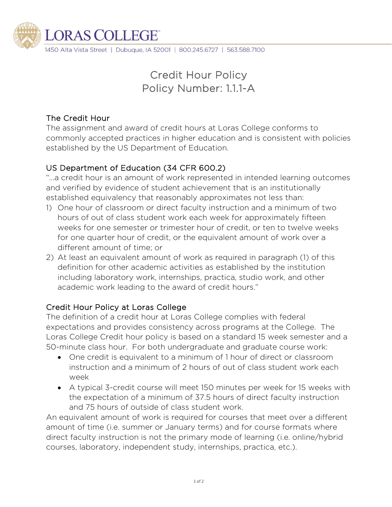

1450 Alta Vista Street | Dubuque, IA 52001 | 800.245.6727 | 563.588.7100

# Credit Hour Policy Policy Number: 1.1.1-A

#### The Credit Hour

The assignment and award of credit hours at Loras College conforms to commonly accepted practices in higher education and is consistent with policies established by the US Department of Education.

# US Department of Education (34 CFR 600.2)

"…a credit hour is an amount of work represented in intended learning outcomes and verified by evidence of student achievement that is an institutionally established equivalency that reasonably approximates not less than:

- 1) One hour of classroom or direct faculty instruction and a minimum of two hours of out of class student work each week for approximately fifteen weeks for one semester or trimester hour of credit, or ten to twelve weeks for one quarter hour of credit, or the equivalent amount of work over a different amount of time; or
- 2) At least an equivalent amount of work as required in paragraph (1) of this definition for other academic activities as established by the institution including laboratory work, internships, practica, studio work, and other academic work leading to the award of credit hours."

### Credit Hour Policy at Loras College

The definition of a credit hour at Loras College complies with federal expectations and provides consistency across programs at the College. The Loras College Credit hour policy is based on a standard 15 week semester and a 50-minute class hour. For both undergraduate and graduate course work:

- One credit is equivalent to a minimum of 1 hour of direct or classroom instruction and a minimum of 2 hours of out of class student work each week
- A typical 3-credit course will meet 150 minutes per week for 15 weeks with the expectation of a minimum of 37.5 hours of direct faculty instruction and 75 hours of outside of class student work.

An equivalent amount of work is required for courses that meet over a different amount of time (i.e. summer or January terms) and for course formats where direct faculty instruction is not the primary mode of learning (i.e. online/hybrid courses, laboratory, independent study, internships, practica, etc.).